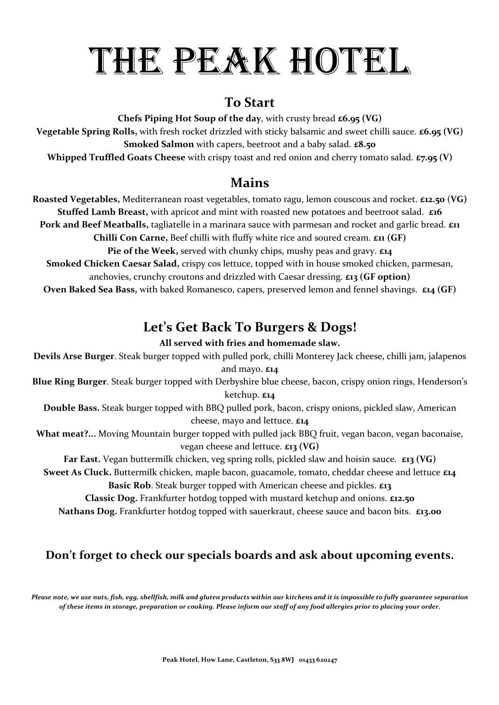# THE PEAK HOTEL

#### **To Start**

**Chefs Piping Hot Soup of the day, with crusty bread £6.95 (VG)** 

**Vegetable Spring Rolls,** with fresh rocket drizzled with sticky balsamic and sweet chilli sauce. **£6.95 (VG) Smoked Salmon** with capers, beetroot and a baby salad. **£8.50 Whipped Truffled Goats Cheese** with crispy toast and red onion and cherry tomato salad. **£7.95 (V)** 

#### **Mains**

**Roasted Vegetables,** Mediterranean roast vegetables, tomato ragu, lemon couscous and rocket. **£12.50** (VG) **Stuffed Lamb Breast,** with apricot and mint with roasted new potatoes and beetroot salad. £16 Pork and Beef Meatballs, tagliatelle in a marinara sauce with parmesan and rocket and garlic bread. *£*11 **Chilli Con Carne,** Beef chilli with fluffy white rice and soured cream.  $\epsilon$ 11 (GF)

**Pie of the Week,** served with chunky chips, mushy peas and gravy.  $\epsilon_{14}$ **Smoked Chicken Caesar Salad,** crispy cos lettuce, topped with in house smoked chicken, parmesan,

anchovies, crunchy croutons and drizzled with Caesar dressing. **£13** (GF option)

**Oven Baked Sea Bass,** with baked Romanesco, capers, preserved lemon and fennel shavings.  $\boldsymbol{\epsilon}_{14}$  (GF)

# Let's Get Back To Burgers & Dogs!

#### All served with fries and homemade slaw.

Devils Arse Burger. Steak burger topped with pulled pork, chilli Monterey Jack cheese, chilli jam, jalapenos and mayo.  $\boldsymbol{\epsilon}$ 14 **Blue Ring Burger**. Steak burger topped with Derbyshire blue cheese, bacon, crispy onion rings, Henderson's ketchup. **£14**

**Double Bass.** Steak burger topped with BBQ pulled pork, bacon, crispy onions, pickled slaw, American cheese, mayo and lettuce. £14

What meat?... Moving Mountain burger topped with pulled jack BBQ fruit, vegan bacon, vegan baconaise, vegan cheese and lettuce. **£13 (VG)**

**Far East.** Vegan buttermilk chicken, veg spring rolls, pickled slaw and hoisin sauce. **£13 (VG) Sweet As Cluck.** Buttermilk chicken, maple bacon, guacamole, tomato, cheddar cheese and lettuce £14

Basic Rob. Steak burger topped with American cheese and pickles. £13 **Classic Dog.** Frankfurter hotdog topped with mustard ketchup and onions. £12.50

Nathans Dog. Frankfurter hotdog topped with sauerkraut, cheese sauce and bacon bits. £13.00

#### Don't forget to check our specials boards and ask about upcoming events.

Please note, we use nuts, fish, egg, shellfish, milk and gluten products within our kitchens and it is impossible to fully guarantee separation *of these items in storage, preparation or cooking. Please inform our staff of any food allergies prior to placing your order.*